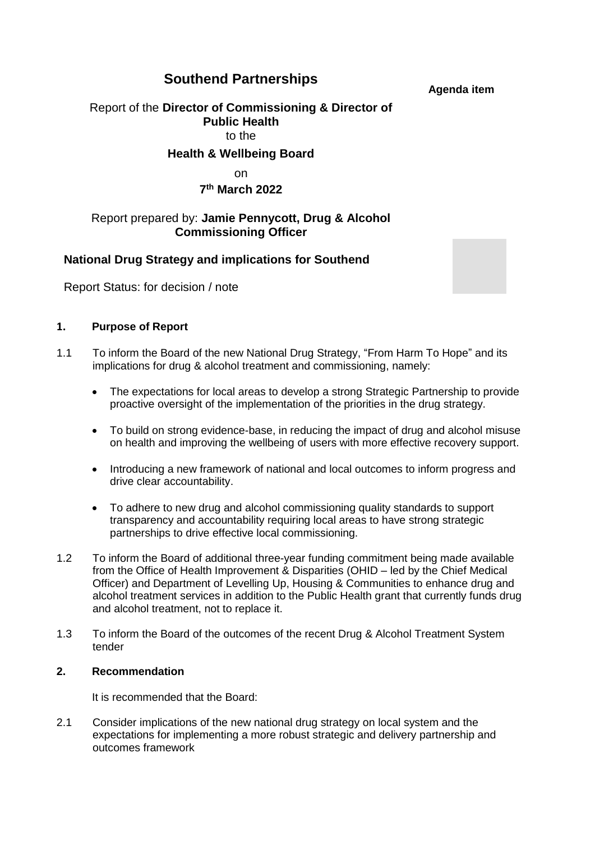# **Southend Partnerships**

**Agenda item**

# Report of the **Director of Commissioning & Director of Public Health** to the

## **Health & Wellbeing Board**

## on

# **7 th March 2022**

## Report prepared by: **Jamie Pennycott, Drug & Alcohol Commissioning Officer**

# **National Drug Strategy and implications for Southend**

Report Status: for decision / note

### **1. Purpose of Report**

- 1.1 To inform the Board of the new National Drug Strategy, "From Harm To Hope" and its implications for drug & alcohol treatment and commissioning, namely:
	- The expectations for local areas to develop a strong Strategic Partnership to provide proactive oversight of the implementation of the priorities in the drug strategy.
	- To build on strong evidence-base, in reducing the impact of drug and alcohol misuse on health and improving the wellbeing of users with more effective recovery support.
	- Introducing a new framework of national and local outcomes to inform progress and drive clear accountability.
	- To adhere to new drug and alcohol commissioning quality standards to support transparency and accountability requiring local areas to have strong strategic partnerships to drive effective local commissioning.
- 1.2 To inform the Board of additional three-year funding commitment being made available from the Office of Health Improvement & Disparities (OHID – led by the Chief Medical Officer) and Department of Levelling Up, Housing & Communities to enhance drug and alcohol treatment services in addition to the Public Health grant that currently funds drug and alcohol treatment, not to replace it.
- 1.3 To inform the Board of the outcomes of the recent Drug & Alcohol Treatment System tender

#### **2. Recommendation**

It is recommended that the Board:

2.1 Consider implications of the new national drug strategy on local system and the expectations for implementing a more robust strategic and delivery partnership and outcomes framework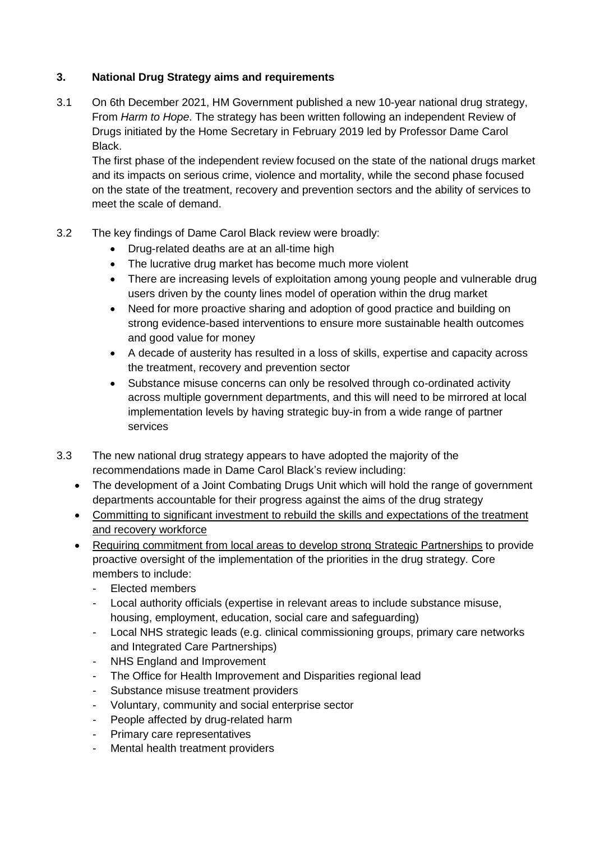# **3. National Drug Strategy aims and requirements**

3.1 On 6th December 2021, HM Government published a new 10-year national drug strategy, From *Harm to Hope*. The strategy has been written following an independent Review of Drugs initiated by the Home Secretary in February 2019 led by Professor Dame Carol Black.

The first phase of the independent review focused on the state of the national drugs market and its impacts on serious crime, violence and mortality, while the second phase focused on the state of the treatment, recovery and prevention sectors and the ability of services to meet the scale of demand.

# 3.2 The key findings of Dame Carol Black review were broadly:

- Drug-related deaths are at an all-time high
- The lucrative drug market has become much more violent
- There are increasing levels of exploitation among young people and vulnerable drug users driven by the county lines model of operation within the drug market
- Need for more proactive sharing and adoption of good practice and building on strong evidence-based interventions to ensure more sustainable health outcomes and good value for money
- A decade of austerity has resulted in a loss of skills, expertise and capacity across the treatment, recovery and prevention sector
- Substance misuse concerns can only be resolved through co-ordinated activity across multiple government departments, and this will need to be mirrored at local implementation levels by having strategic buy-in from a wide range of partner services
- 3.3 The new national drug strategy appears to have adopted the majority of the recommendations made in Dame Carol Black's review including:
	- The development of a Joint Combating Drugs Unit which will hold the range of government departments accountable for their progress against the aims of the drug strategy
	- Committing to significant investment to rebuild the skills and expectations of the treatment and recovery workforce
	- Requiring commitment from local areas to develop strong Strategic Partnerships to provide proactive oversight of the implementation of the priorities in the drug strategy. Core members to include:
		- Elected members
		- Local authority officials (expertise in relevant areas to include substance misuse, housing, employment, education, social care and safeguarding)
		- Local NHS strategic leads (e.g. clinical commissioning groups, primary care networks and Integrated Care Partnerships)
		- NHS England and Improvement
		- The Office for Health Improvement and Disparities regional lead
		- Substance misuse treatment providers
		- Voluntary, community and social enterprise sector
		- People affected by drug-related harm
		- Primary care representatives
		- Mental health treatment providers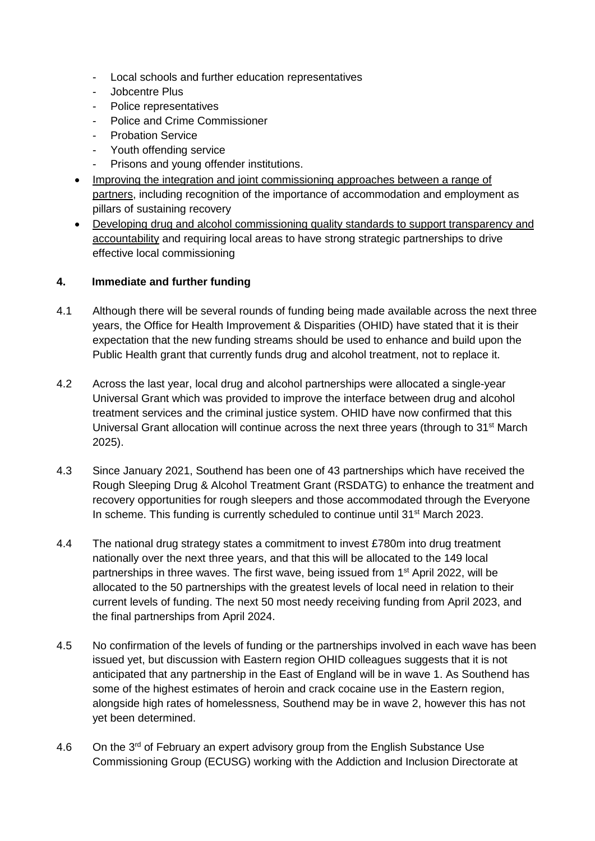- Local schools and further education representatives
- Jobcentre Plus
- Police representatives
- Police and Crime Commissioner
- **Probation Service**
- Youth offending service
- Prisons and young offender institutions.
- Improving the integration and joint commissioning approaches between a range of partners, including recognition of the importance of accommodation and employment as pillars of sustaining recovery
- Developing drug and alcohol commissioning quality standards to support transparency and accountability and requiring local areas to have strong strategic partnerships to drive effective local commissioning

#### **4. Immediate and further funding**

- 4.1 Although there will be several rounds of funding being made available across the next three years, the Office for Health Improvement & Disparities (OHID) have stated that it is their expectation that the new funding streams should be used to enhance and build upon the Public Health grant that currently funds drug and alcohol treatment, not to replace it.
- 4.2 Across the last year, local drug and alcohol partnerships were allocated a single-year Universal Grant which was provided to improve the interface between drug and alcohol treatment services and the criminal justice system. OHID have now confirmed that this Universal Grant allocation will continue across the next three years (through to  $31<sup>st</sup>$  March 2025).
- 4.3 Since January 2021, Southend has been one of 43 partnerships which have received the Rough Sleeping Drug & Alcohol Treatment Grant (RSDATG) to enhance the treatment and recovery opportunities for rough sleepers and those accommodated through the Everyone In scheme. This funding is currently scheduled to continue until 31<sup>st</sup> March 2023.
- 4.4 The national drug strategy states a commitment to invest £780m into drug treatment nationally over the next three years, and that this will be allocated to the 149 local partnerships in three waves. The first wave, being issued from  $1<sup>st</sup>$  April 2022, will be allocated to the 50 partnerships with the greatest levels of local need in relation to their current levels of funding. The next 50 most needy receiving funding from April 2023, and the final partnerships from April 2024.
- 4.5 No confirmation of the levels of funding or the partnerships involved in each wave has been issued yet, but discussion with Eastern region OHID colleagues suggests that it is not anticipated that any partnership in the East of England will be in wave 1. As Southend has some of the highest estimates of heroin and crack cocaine use in the Eastern region, alongside high rates of homelessness, Southend may be in wave 2, however this has not yet been determined.
- 4.6 On the 3<sup>rd</sup> of February an expert advisory group from the English Substance Use Commissioning Group (ECUSG) working with the Addiction and Inclusion Directorate at